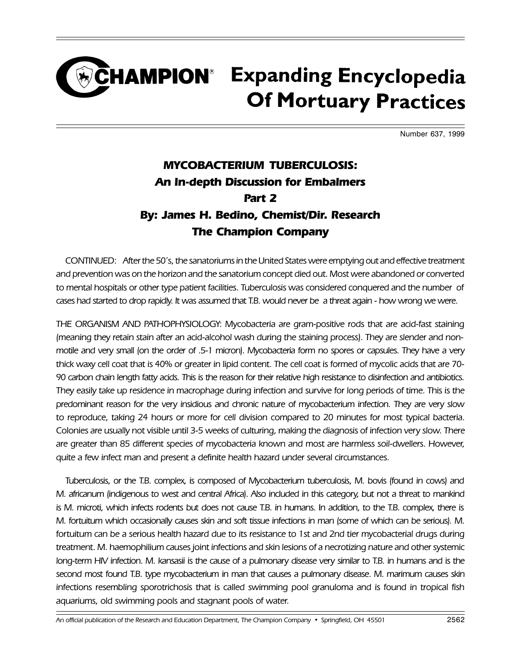## CHAMPION<sup>®</sup> Expanding Encyclopedia **Of Mortuary Practices**

Number 637, 1999

## MYCOBACTERIUM TUBERCULOSIS: An In-depth Discussion for Embalmers Part 2 By: James H. Bedino, Chemist/Dir. Research The Champion Company

CONTINUED: After the 50's, the sanatoriums in the United States were emptying out and effective treatment and prevention was on the horizon and the sanatorium concept died out. Most were abandoned or converted to mental hospitals or other type patient facilities. Tuberculosis was considered conquered and the number of cases had started to drop rapidly. It was assumed that T.B. would never be a threat again - how wrong we were.

THE ORGANISM AND PATHOPHYSIOLOGY: Mycobacteria are gram-positive rods that are acid-fast staining (meaning they retain stain after an acid-alcohol wash during the staining process). They are slender and nonmotile and very small (on the order of .5-1 micron). Mycobacteria form no spores or capsules. They have a very thick waxy cell coat that is 40% or greater in lipid content. The cell coat is formed of mycolic acids that are 70- 90 carbon chain length fatty acids. This is the reason for their relative high resistance to disinfection and antibiotics. They easily take up residence in macrophage during infection and survive for long periods of time. This is the predominant reason for the very insidious and chronic nature of mycobacterium infection. They are very slow to reproduce, taking 24 hours or more for cell division compared to 20 minutes for most typical bacteria. Colonies are usually not visible until 3-5 weeks of culturing, making the diagnosis of infection very slow. There are greater than 85 different species of mycobacteria known and most are harmless soil-dwellers. However, quite a few infect man and present a definite health hazard under several circumstances.

Tuberculosis, or the T.B. complex, is composed of Mycobacterium tuberculosis, M. bovis (found in cows) and M. africanum (indigenous to west and central Africa). Also included in this category, but not a threat to mankind is M. microti, which infects rodents but does not cause T.B. in humans. In addition, to the T.B. complex, there is M. fortuitum which occasionally causes skin and soft tissue infections in man (some of which can be serious). M. fortuitum can be a serious health hazard due to its resistance to 1st and 2nd tier mycobacterial drugs during treatment. M. haemophilium causes joint infections and skin lesions of a necrotizing nature and other systemic long-term HIV infection. M. kansasii is the cause of a pulmonary disease very similar to T.B. in humans and is the second most found T.B. type mycobacterium in man that causes a pulmonary disease. M. marimum causes skin infections resembling sporotrichosis that is called swimming pool granuloma and is found in tropical fish aquariums, old swimming pools and stagnant pools of water.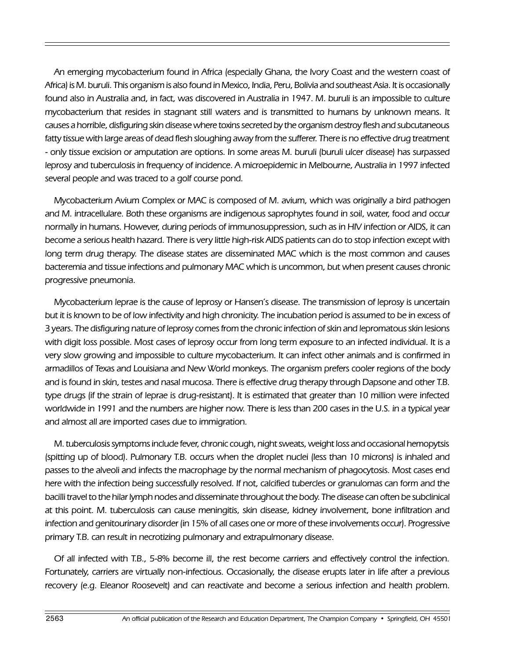An emerging mycobacterium found in Africa (especially Ghana, the Ivory Coast and the western coast of Africa) is M. buruli. This organism is also found in Mexico, India, Peru, Bolivia and southeast Asia. It is occasionally found also in Australia and, in fact, was discovered in Australia in 1947. M. buruli is an impossible to culture mycobacterium that resides in stagnant still waters and is transmitted to humans by unknown means. It causes a horrible, disfiguring skin disease where toxins secreted by the organism destroy flesh and subcutaneous fatty tissue with large areas of dead flesh sloughing away from the sufferer. There is no effective drug treatment - only tissue excision or amputation are options. In some areas M. buruli (buruli ulcer disease) has surpassed leprosy and tuberculosis in frequency of incidence. A microepidemic in Melbourne, Australia in 1997 infected several people and was traced to a golf course pond.

Mycobacterium Avium Complex or MAC is composed of M. avium, which was originally a bird pathogen and M. intracellulare. Both these organisms are indigenous saprophytes found in soil, water, food and occur normally in humans. However, during periods of immunosuppression, such as in HIV infection or AIDS, it can become a serious health hazard. There is very little high-risk AIDS patients can do to stop infection except with long term drug therapy. The disease states are disseminated MAC which is the most common and causes bacteremia and tissue infections and pulmonary MAC which is uncommon, but when present causes chronic progressive pneumonia.

Mycobacterium leprae is the cause of leprosy or Hansen's disease. The transmission of leprosy is uncertain but it is known to be of low infectivity and high chronicity. The incubation period is assumed to be in excess of 3 years. The disfiguring nature of leprosy comes from the chronic infection of skin and lepromatous skin lesions with digit loss possible. Most cases of leprosy occur from long term exposure to an infected individual. It is a very slow growing and impossible to culture mycobacterium. It can infect other animals and is confirmed in armadillos of Texas and Louisiana and New World monkeys. The organism prefers cooler regions of the body and is found in skin, testes and nasal mucosa. There is effective drug therapy through Dapsone and other T.B. type drugs (if the strain of leprae is drug-resistant). It is estimated that greater than 10 million were infected worldwide in 1991 and the numbers are higher now. There is less than 200 cases in the U.S. in a typical year and almost all are imported cases due to immigration.

M. tuberculosis symptoms include fever, chronic cough, night sweats, weight loss and occasional hemopytsis (spitting up of blood). Pulmonary T.B. occurs when the droplet nuclei (less than 10 microns) is inhaled and passes to the alveoli and infects the macrophage by the normal mechanism of phagocytosis. Most cases end here with the infection being successfully resolved. If not, calcified tubercles or granulomas can form and the bacilli travel to the hilar lymph nodes and disseminate throughout the body. The disease can often be subclinical at this point. M. tuberculosis can cause meningitis, skin disease, kidney involvement, bone infiltration and infection and genitourinary disorder (in 15% of all cases one or more of these involvements occur). Progressive primary T.B. can result in necrotizing pulmonary and extrapulmonary disease.

Of all infected with T.B., 5-8% become ill, the rest become carriers and effectively control the infection. Fortunately, carriers are virtually non-infectious. Occasionally, the disease erupts later in life after a previous recovery (e.g. Eleanor Roosevelt) and can reactivate and become a serious infection and health problem.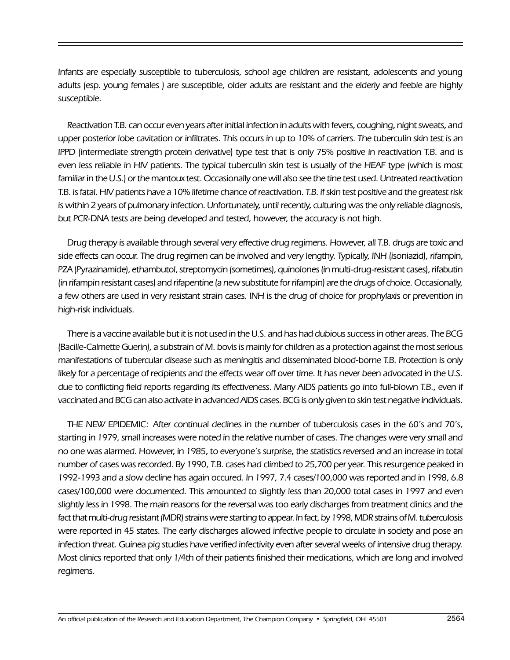Infants are especially susceptible to tuberculosis, school age children are resistant, adolescents and young adults (esp. young females ) are susceptible, older adults are resistant and the elderly and feeble are highly susceptible.

Reactivation T.B. can occur even years after initial infection in adults with fevers, coughing, night sweats, and upper posterior lobe cavitation or infiltrates. This occurs in up to 10% of carriers. The tuberculin skin test is an IPPD (intermediate strength protein derivative) type test that is only 75% positive in reactivation T.B. and is even less reliable in HIV patients. The typical tuberculin skin test is usually of the HEAF type (which is most familiar in the U.S.) or the mantoux test. Occasionally one will also see the tine test used. Untreated reactivation T.B. is fatal. HIV patients have a 10% lifetime chance of reactivation. T.B. if skin test positive and the greatest risk is within 2 years of pulmonary infection. Unfortunately, until recently, culturing was the only reliable diagnosis, but PCR-DNA tests are being developed and tested, however, the accuracy is not high.

Drug therapy is available through several very effective drug regimens. However, all T.B. drugs are toxic and side effects can occur. The drug regimen can be involved and very lengthy. Typically, INH (isoniazid), rifampin, PZA (Pyrazinamide), ethambutol, streptomycin (sometimes), quinolones (in multi-drug-resistant cases), rifabutin (in rifampin resistant cases) and rifapentine (a new substitute for rifampin) are the drugs of choice. Occasionally, a few others are used in very resistant strain cases. INH is the drug of choice for prophylaxis or prevention in high-risk individuals.

There is a vaccine available but it is not used in the U.S. and has had dubious success in other areas. The BCG (Bacille-Calmette Guerin), a substrain of M. bovis is mainly for children as a protection against the most serious manifestations of tubercular disease such as meningitis and disseminated blood-borne T.B. Protection is only likely for a percentage of recipients and the effects wear off over time. It has never been advocated in the U.S. due to conflicting field reports regarding its effectiveness. Many AIDS patients go into full-blown T.B., even if vaccinated and BCG can also activate in advanced AIDS cases. BCG is only given to skin test negative individuals.

THE NEW EPIDEMIC: After continual declines in the number of tuberculosis cases in the 60's and 70's, starting in 1979, small increases were noted in the relative number of cases. The changes were very small and no one was alarmed. However, in 1985, to everyone's surprise, the statistics reversed and an increase in total number of cases was recorded. By 1990, T.B. cases had climbed to 25,700 per year. This resurgence peaked in 1992-1993 and a slow decline has again occured. In 1997, 7.4 cases/100,000 was reported and in 1998, 6.8 cases/100,000 were documented. This amounted to slightly less than 20,000 total cases in 1997 and even slightly less in 1998. The main reasons for the reversal was too early discharges from treatment clinics and the fact that multi-drug resistant (MDR) strains were starting to appear. In fact, by 1998, MDR strains of M. tuberculosis were reported in 45 states. The early discharges allowed infective people to circulate in society and pose an infection threat. Guinea pig studies have verified infectivity even after several weeks of intensive drug therapy. Most clinics reported that only 1/4th of their patients finished their medications, which are long and involved regimens.